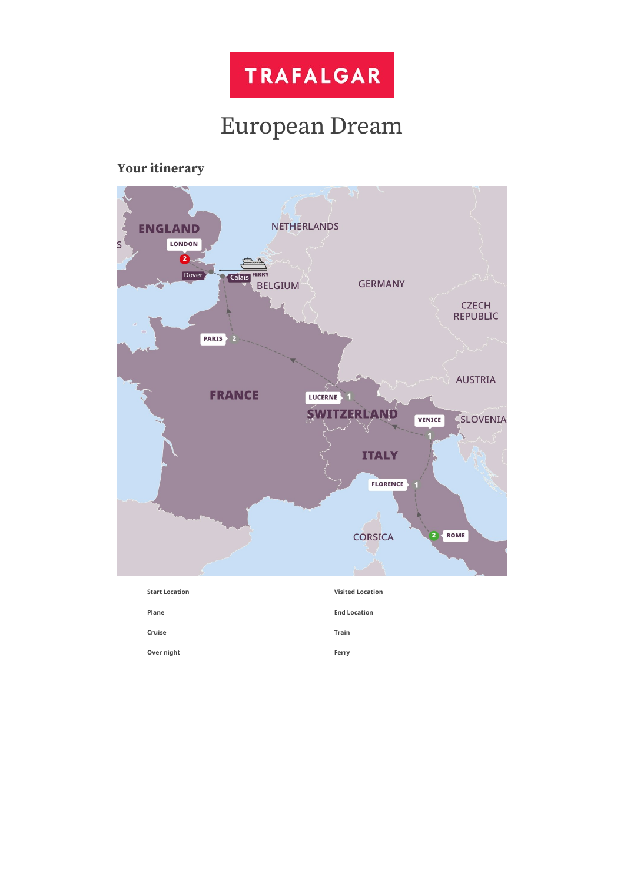

# European Dream

# **Your itinerary**

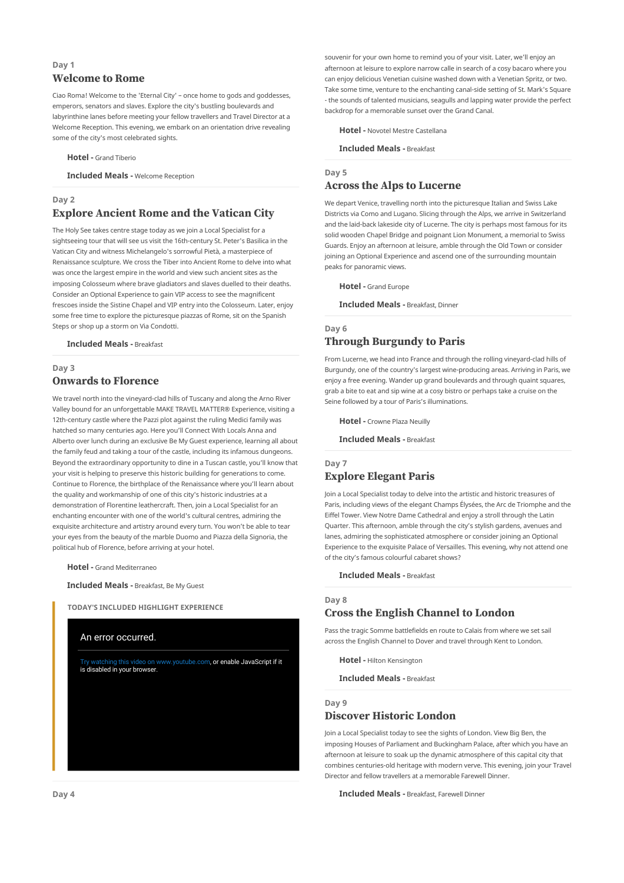# **Day 1 Welcome to Rome**

Ciao Roma! Welcome to the 'Eternal City' – once home to gods and goddesses, emperors, senators and slaves. Explore the city's bustling boulevards and labyrinthine lanes before meeting your fellow travellers and Travel Director at a Welcome Reception. This evening, we embark on an orientation drive revealing some of the city's most celebrated sights.

**Hotel -** Grand Tiberio

**Included Meals -** Welcome Reception

# **Day 2 Explore Ancient Rome and the Vatican City**

The Holy See takes centre stage today as we join a Local Specialist for a sightseeing tour that will see us visit the 16th-century St. Peter's Basilica in the Vatican City and witness Michelangelo's sorrowful Pietà, a masterpiece of Renaissance sculpture. We cross the Tiber into Ancient Rome to delve into what was once the largest empire in the world and view such ancient sites as the imposing Colosseum where brave gladiators and slaves duelled to their deaths. Consider an Optional Experience to gain VIP access to see the magnificent frescoes inside the Sistine Chapel and VIP entry into the Colosseum. Later, enjoy some free time to explore the picturesque piazzas of Rome, sit on the Spanish Steps or shop up a storm on Via Condotti.

**Included Meals -** Breakfast

### **Day 3**

# **Onwards to Florence**

We travel north into the vineyard-clad hills of Tuscany and along the Arno River Valley bound for an unforgettable MAKE TRAVEL MATTER® Experience, visiting a 12th-century castle where the Pazzi plot against the ruling Medici family was hatched so many centuries ago. Here you'll Connect With Locals Anna and Alberto over lunch during an exclusive Be My Guest experience, learning all about the family feud and taking a tour of the castle, including its infamous dungeons. Beyond the extraordinary opportunity to dine in a Tuscan castle, you'll know that your visit is helping to preserve this historic building for generations to come. Continue to Florence, the birthplace of the Renaissance where you'll learn about the quality and workmanship of one of this city's historic industries at a demonstration of Florentine leathercraft. Then, join a Local Specialist for an enchanting encounter with one of the world's cultural centres, admiring the exquisite architecture and artistry around every turn. You won't be able to tear your eyes from the beauty of the marble Duomo and Piazza della Signoria, the political hub of Florence, before arriving at your hotel.

**Hotel -** Grand Mediterraneo

**Included Meals -** Breakfast, Be My Guest

**TODAY'S INCLUDED HIGHLIGHT EXPERIENCE**



souvenir for your own home to remind you of your visit. Later, we'll enjoy an afternoon at leisure to explore narrow calle in search of a cosy bacaro where you can enjoy delicious Venetian cuisine washed down with a Venetian Spritz, or two. Take some time, venture to the enchanting canal-side setting of St. Mark's Square - the sounds of talented musicians, seagulls and lapping water provide the perfect backdrop for a memorable sunset over the Grand Canal.

**Hotel -** Novotel Mestre Castellana

**Included Meals -** Breakfast

### **Day 5**

# **Across the Alps to Lucerne**

We depart Venice, travelling north into the picturesque Italian and Swiss Lake Districts via Como and Lugano. Slicing through the Alps, we arrive in Switzerland and the laid-back lakeside city of Lucerne. The city is perhaps most famous for its solid wooden Chapel Bridge and poignant Lion Monument, a memorial to Swiss Guards. Enjoy an afternoon at leisure, amble through the Old Town or consider joining an Optional Experience and ascend one of the surrounding mountain peaks for panoramic views.

**Hotel -** Grand Europe

**Included Meals -** Breakfast, Dinner

## **Day 6 Through Burgundy to Paris**

From Lucerne, we head into France and through the rolling vineyard-clad hills of Burgundy, one of the country's largest wine-producing areas. Arriving in Paris, we enjoy a free evening. Wander up grand boulevards and through quaint squares, grab a bite to eat and sip wine at a cosy bistro or perhaps take a cruise on the Seine followed by a tour of Paris's illuminations.

**Hotel -** Crowne Plaza Neuilly

**Included Meals -** Breakfast

# **Day 7**

# **Explore Elegant Paris**

Join a Local Specialist today to delve into the artistic and historic treasures of Paris, including views of the elegant Champs Élysées, the Arc de Triomphe and the Eiffel Tower. View Notre Dame Cathedral and enjoy a stroll through the Latin Quarter. This afternoon, amble through the city's stylish gardens, avenues and lanes, admiring the sophisticated atmosphere or consider joining an Optional Experience to the exquisite Palace of Versailles. This evening, why not attend one of the city's famous colourful cabaret shows?

**Included Meals -** Breakfast

### **Day 8**

# **Cross the English Channel to London**

Pass the tragic Somme battlefields en route to Calais from where we set sail across the English Channel to Dover and travel through Kent to London.

**Hotel -** Hilton Kensington

**Included Meals -** Breakfast

### **Day 9**

# **Discover Historic London**

Join a Local Specialist today to see the sights of London. View Big Ben, the imposing Houses of Parliament and Buckingham Palace, after which you have an afternoon at leisure to soak up the dynamic atmosphere of this capital city that combines centuries-old heritage with modern verve. This evening, join your Travel Director and fellow travellers at a memorable Farewell Dinner.

**Included Meals -** Breakfast, Farewell Dinner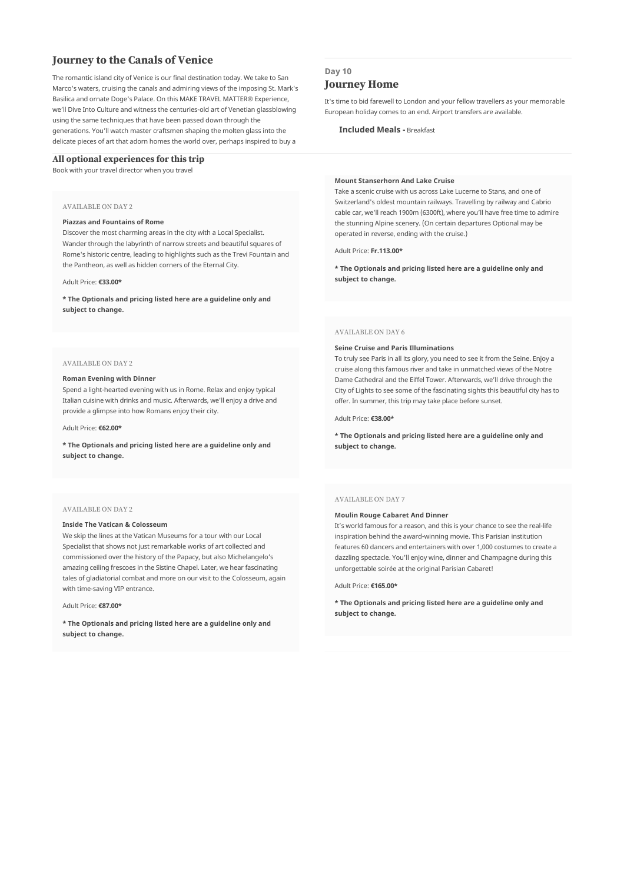# **Journey to the Canals of Venice**

The romantic island city of Venice is our final destination today. We take to San Marco's waters, cruising the canals and admiring views of the imposing St. Mark's Basilica and ornate Doge's Palace. On this MAKE TRAVEL MATTER® Experience, we'll Dive Into Culture and witness the centuries-old art of Venetian glassblowing using the same techniques that have been passed down through the generations. You'll watch master craftsmen shaping the molten glass into the delicate pieces of art that adorn homes the world over, perhaps inspired to buy a

### **All optional experiences for this trip**

Book with your travel director when you travel

#### AVAILABLE ON DAY 2

#### **Piazzas and Fountains of Rome**

Discover the most charming areas in the city with a Local Specialist. Wander through the labyrinth of narrow streets and beautiful squares of Rome's historic centre, leading to highlights such as the Trevi Fountain and the Pantheon, as well as hidden corners of the Eternal City.

#### Adult Price: **€33.00\***

**\* The Optionals and pricing listed here are a guideline only and subject to change.**

### AVAILABLE ON DAY 2

#### **Roman Evening with Dinner**

Spend a light-hearted evening with us in Rome. Relax and enjoy typical Italian cuisine with drinks and music. Afterwards, we'll enjoy a drive and provide a glimpse into how Romans enjoy their city.

#### Adult Price: **€62.00\***

**\* The Optionals and pricing listed here are a guideline only and subject to change.**

### AVAILABLE ON DAY 2

#### **Inside The Vatican & Colosseum**

We skip the lines at the Vatican Museums for a tour with our Local Specialist that shows not just remarkable works of art collected and commissioned over the history of the Papacy, but also Michelangelo's amazing ceiling frescoes in the Sistine Chapel. Later, we hear fascinating tales of gladiatorial combat and more on our visit to the Colosseum, again with time-saving VIP entrance.

Adult Price: **€87.00\***

**\* The Optionals and pricing listed here are a guideline only and subject to change.**

### **Day 10**

# **Journey Home**

It's time to bid farewell to London and your fellow travellers as your memorable European holiday comes to an end. Airport transfers are available.

**Included Meals -** Breakfast

#### **Mount Stanserhorn And Lake Cruise**

Take a scenic cruise with us across Lake Lucerne to Stans, and one of Switzerland's oldest mountain railways. Travelling by railway and Cabrio cable car, we'll reach 1900m (6300ft), where you'll have free time to admire the stunning Alpine scenery. (On certain departures Optional may be operated in reverse, ending with the cruise.)

Adult Price: **Fr.113.00\***

**\* The Optionals and pricing listed here are a guideline only and subject to change.**

#### AVAILABLE ON DAY 6

#### **Seine Cruise and Paris Illuminations**

To truly see Paris in all its glory, you need to see it from the Seine. Enjoy a cruise along this famous river and take in unmatched views of the Notre Dame Cathedral and the Eiffel Tower. Afterwards, we'll drive through the City of Lights to see some of the fascinating sights this beautiful city has to offer. In summer, this trip may take place before sunset.

#### Adult Price: **€38.00\***

**\* The Optionals and pricing listed here are a guideline only and subject to change.**

#### AVAILABLE ON DAY 7

### **Moulin Rouge Cabaret And Dinner**

It's world famous for a reason, and this is your chance to see the real-life inspiration behind the award-winning movie. This Parisian institution features 60 dancers and entertainers with over 1,000 costumes to create a dazzling spectacle. You'll enjoy wine, dinner and Champagne during this unforgettable soirée at the original Parisian Cabaret!

#### Adult Price: **€165.00\***

**\* The Optionals and pricing listed here are a guideline only and subject to change.**